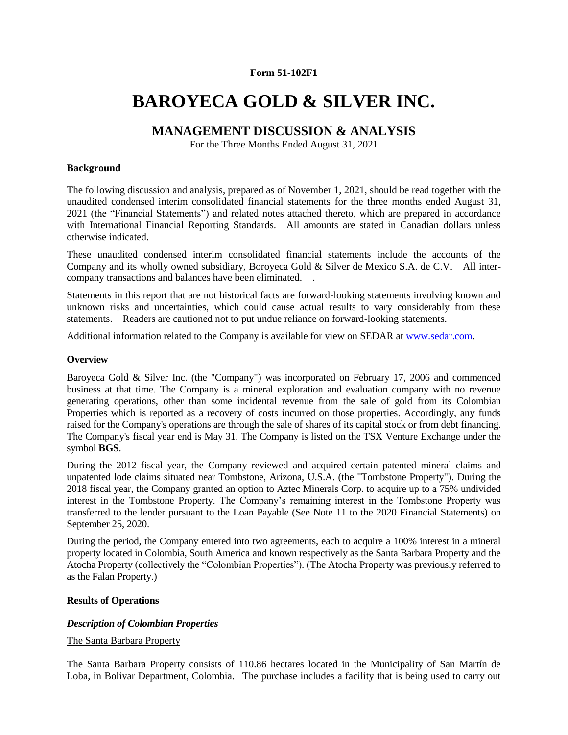## **Form 51-102F1**

# **BAROYECA GOLD & SILVER INC.**

## **MANAGEMENT DISCUSSION & ANALYSIS**

For the Three Months Ended August 31, 2021

#### **Background**

The following discussion and analysis, prepared as of November 1, 2021, should be read together with the unaudited condensed interim consolidated financial statements for the three months ended August 31, 2021 (the "Financial Statements") and related notes attached thereto, which are prepared in accordance with International Financial Reporting Standards. All amounts are stated in Canadian dollars unless otherwise indicated.

These unaudited condensed interim consolidated financial statements include the accounts of the Company and its wholly owned subsidiary, Boroyeca Gold & Silver de Mexico S.A. de C.V. All intercompany transactions and balances have been eliminated. .

Statements in this report that are not historical facts are forward-looking statements involving known and unknown risks and uncertainties, which could cause actual results to vary considerably from these statements. Readers are cautioned not to put undue reliance on forward-looking statements.

Additional information related to the Company is available for view on SEDAR at [www.sedar.com.](http://www.sedar.com/)

#### **Overview**

Baroyeca Gold & Silver Inc. (the "Company") was incorporated on February 17, 2006 and commenced business at that time. The Company is a mineral exploration and evaluation company with no revenue generating operations, other than some incidental revenue from the sale of gold from its Colombian Properties which is reported as a recovery of costs incurred on those properties. Accordingly, any funds raised for the Company's operations are through the sale of shares of its capital stock or from debt financing. The Company's fiscal year end is May 31. The Company is listed on the TSX Venture Exchange under the symbol **BGS**.

During the 2012 fiscal year, the Company reviewed and acquired certain patented mineral claims and unpatented lode claims situated near Tombstone, Arizona, U.S.A. (the "Tombstone Property"). During the 2018 fiscal year, the Company granted an option to Aztec Minerals Corp. to acquire up to a 75% undivided interest in the Tombstone Property. The Company's remaining interest in the Tombstone Property was transferred to the lender pursuant to the Loan Payable (See Note 11 to the 2020 Financial Statements) on September 25, 2020.

During the period, the Company entered into two agreements, each to acquire a 100% interest in a mineral property located in Colombia, South America and known respectively as the Santa Barbara Property and the Atocha Property (collectively the "Colombian Properties"). (The Atocha Property was previously referred to as the Falan Property.)

#### **Results of Operations**

#### *Description of Colombian Properties*

#### The Santa Barbara Property

The Santa Barbara Property consists of 110.86 hectares located in the Municipality of San Martín de Loba, in Bolivar Department, Colombia. The purchase includes a facility that is being used to carry out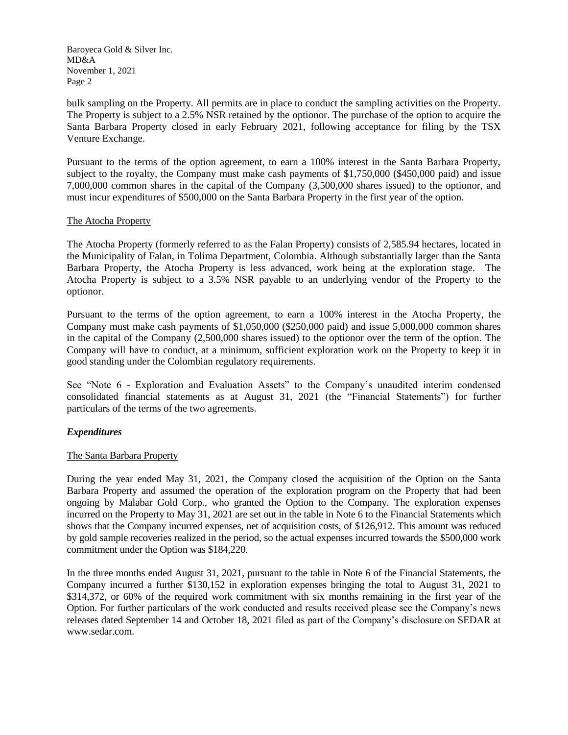bulk sampling on the Property. All permits are in place to conduct the sampling activities on the Property. The Property is subject to a 2.5% NSR retained by the optionor. The purchase of the option to acquire the Santa Barbara Property closed in early February 2021, following acceptance for filing by the TSX Venture Exchange.

Pursuant to the terms of the option agreement, to earn a 100% interest in the Santa Barbara Property, subject to the royalty, the Company must make cash payments of \$1,750,000 (\$450,000 paid) and issue 7,000,000 common shares in the capital of the Company (3,500,000 shares issued) to the optionor, and must incur expenditures of \$500,000 on the Santa Barbara Property in the first year of the option.

#### The Atocha Property

The Atocha Property (formerly referred to as the Falan Property) consists of 2,585.94 hectares, located in the Municipality of Falan, in Tolima Department, Colombia. Although substantially larger than the Santa Barbara Property, the Atocha Property is less advanced, work being at the exploration stage. The Atocha Property is subject to a 3.5% NSR payable to an underlying vendor of the Property to the optionor.

Pursuant to the terms of the option agreement, to earn a 100% interest in the Atocha Property, the Company must make cash payments of \$1,050,000 (\$250,000 paid) and issue 5,000,000 common shares in the capital of the Company (2,500,000 shares issued) to the optionor over the term of the option. The Company will have to conduct, at a minimum, sufficient exploration work on the Property to keep it in good standing under the Colombian regulatory requirements.

See "Note 6 - Exploration and Evaluation Assets" to the Company's unaudited interim condensed consolidated financial statements as at August 31, 2021 (the "Financial Statements") for further particulars of the terms of the two agreements.

## *Expenditures*

#### The Santa Barbara Property

During the year ended May 31, 2021, the Company closed the acquisition of the Option on the Santa Barbara Property and assumed the operation of the exploration program on the Property that had been ongoing by Malabar Gold Corp., who granted the Option to the Company. The exploration expenses incurred on the Property to May 31, 2021 are set out in the table in Note 6 to the Financial Statements which shows that the Company incurred expenses, net of acquisition costs, of \$126,912. This amount was reduced by gold sample recoveries realized in the period, so the actual expenses incurred towards the \$500,000 work commitment under the Option was \$184,220.

In the three months ended August 31, 2021, pursuant to the table in Note 6 of the Financial Statements, the Company incurred a further \$130,152 in exploration expenses bringing the total to August 31, 2021 to \$314,372, or 60% of the required work commitment with six months remaining in the first year of the Option. For further particulars of the work conducted and results received please see the Company's news releases dated September 14 and October 18, 2021 filed as part of the Company's disclosure on SEDAR at www.sedar.com.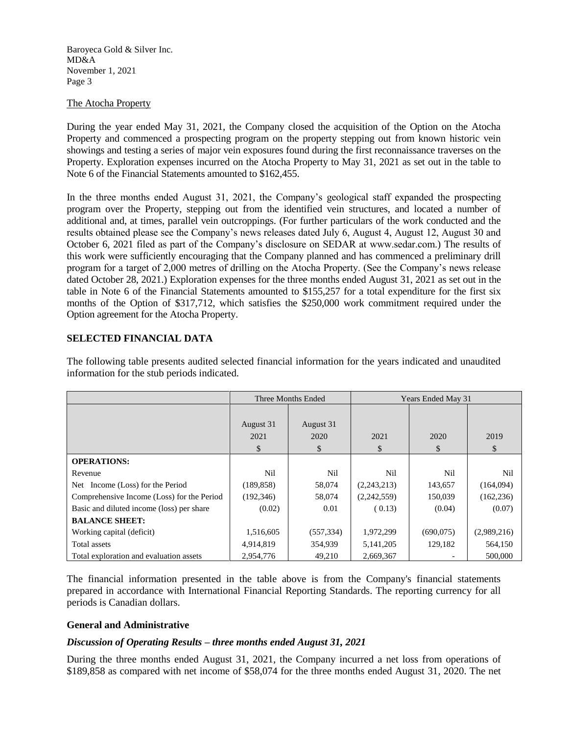#### The Atocha Property

During the year ended May 31, 2021, the Company closed the acquisition of the Option on the Atocha Property and commenced a prospecting program on the property stepping out from known historic vein showings and testing a series of major vein exposures found during the first reconnaissance traverses on the Property. Exploration expenses incurred on the Atocha Property to May 31, 2021 as set out in the table to Note 6 of the Financial Statements amounted to \$162,455.

In the three months ended August 31, 2021, the Company's geological staff expanded the prospecting program over the Property, stepping out from the identified vein structures, and located a number of additional and, at times, parallel vein outcroppings. (For further particulars of the work conducted and the results obtained please see the Company's news releases dated July 6, August 4, August 12, August 30 and October 6, 2021 filed as part of the Company's disclosure on SEDAR at www.sedar.com.) The results of this work were sufficiently encouraging that the Company planned and has commenced a preliminary drill program for a target of 2,000 metres of drilling on the Atocha Property. (See the Company's news release dated October 28, 2021.) Exploration expenses for the three months ended August 31, 2021 as set out in the table in Note 6 of the Financial Statements amounted to \$155,257 for a total expenditure for the first six months of the Option of \$317,712, which satisfies the \$250,000 work commitment required under the Option agreement for the Atocha Property.

## **SELECTED FINANCIAL DATA**

The following table presents audited selected financial information for the years indicated and unaudited information for the stub periods indicated.

|                                            | Three Months Ended |            | Years Ended May 31 |           |             |
|--------------------------------------------|--------------------|------------|--------------------|-----------|-------------|
|                                            |                    |            |                    |           |             |
|                                            | August 31          | August 31  |                    |           |             |
|                                            | 2021               | 2020       | 2021               | 2020      | 2019        |
|                                            | \$                 | \$         | \$                 | \$        | \$          |
| <b>OPERATIONS:</b>                         |                    |            |                    |           |             |
| Revenue                                    | Nil                | Nil        | Nil                | Nil       | Nil         |
| Net Income (Loss) for the Period           | (189, 858)         | 58,074     | (2,243,213)        | 143,657   | (164,094)   |
| Comprehensive Income (Loss) for the Period | (192, 346)         | 58,074     | (2,242,559)        | 150,039   | (162, 236)  |
| Basic and diluted income (loss) per share  | (0.02)             | 0.01       | (0.13)             | (0.04)    | (0.07)      |
| <b>BALANCE SHEET:</b>                      |                    |            |                    |           |             |
| Working capital (deficit)                  | 1,516,605          | (557, 334) | 1,972,299          | (690,075) | (2,989,216) |
| Total assets                               | 4,914,819          | 354,939    | 5, 141, 205        | 129,182   | 564,150     |
| Total exploration and evaluation assets    | 2,954,776          | 49,210     | 2,669,367          |           | 500,000     |

The financial information presented in the table above is from the Company's financial statements prepared in accordance with International Financial Reporting Standards. The reporting currency for all periods is Canadian dollars.

## **General and Administrative**

#### *Discussion of Operating Results – three months ended August 31, 2021*

During the three months ended August 31, 2021, the Company incurred a net loss from operations of \$189,858 as compared with net income of \$58,074 for the three months ended August 31, 2020. The net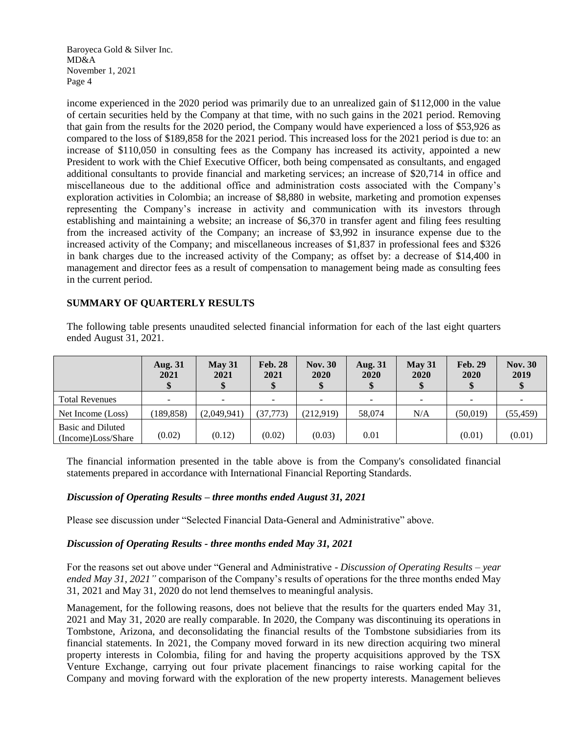income experienced in the 2020 period was primarily due to an unrealized gain of \$112,000 in the value of certain securities held by the Company at that time, with no such gains in the 2021 period. Removing that gain from the results for the 2020 period, the Company would have experienced a loss of \$53,926 as compared to the loss of \$189,858 for the 2021 period. This increased loss for the 2021 period is due to: an increase of \$110,050 in consulting fees as the Company has increased its activity, appointed a new President to work with the Chief Executive Officer, both being compensated as consultants, and engaged additional consultants to provide financial and marketing services; an increase of \$20,714 in office and miscellaneous due to the additional office and administration costs associated with the Company's exploration activities in Colombia; an increase of \$8,880 in website, marketing and promotion expenses representing the Company's increase in activity and communication with its investors through establishing and maintaining a website; an increase of \$6,370 in transfer agent and filing fees resulting from the increased activity of the Company; an increase of \$3,992 in insurance expense due to the increased activity of the Company; and miscellaneous increases of \$1,837 in professional fees and \$326 in bank charges due to the increased activity of the Company; as offset by: a decrease of \$14,400 in management and director fees as a result of compensation to management being made as consulting fees in the current period.

## **SUMMARY OF QUARTERLY RESULTS**

The following table presents unaudited selected financial information for each of the last eight quarters ended August 31, 2021.

|                                         | <b>Aug. 31</b><br>2021 | $\text{Mav } 31$<br>2021 | <b>Feb. 28</b><br>2021 | <b>Nov. 30</b><br>2020   | <b>Aug. 31</b><br>2020 | $\text{Mav } 31$<br>2020 | <b>Feb. 29</b><br>2020 | <b>Nov. 30</b><br>2019 |
|-----------------------------------------|------------------------|--------------------------|------------------------|--------------------------|------------------------|--------------------------|------------------------|------------------------|
| <b>Total Revenues</b>                   |                        |                          | -                      | $\overline{\phantom{0}}$ |                        |                          |                        |                        |
| Net Income (Loss)                       | (189, 858)             | (2,049,941)              | (37, 773)              | (212,919)                | 58,074                 | N/A                      | (50,019)               | (55, 459)              |
| Basic and Diluted<br>(Income)Loss/Share | (0.02)                 | (0.12)                   | (0.02)                 | (0.03)                   | 0.01                   |                          | (0.01)                 | (0.01)                 |

The financial information presented in the table above is from the Company's consolidated financial statements prepared in accordance with International Financial Reporting Standards.

#### *Discussion of Operating Results – three months ended August 31, 2021*

Please see discussion under "Selected Financial Data-General and Administrative" above.

#### *Discussion of Operating Results - three months ended May 31, 2021*

For the reasons set out above under "General and Administrative - *Discussion of Operating Results – year ended May 31, 2021"* comparison of the Company's results of operations for the three months ended May 31, 2021 and May 31, 2020 do not lend themselves to meaningful analysis.

Management, for the following reasons, does not believe that the results for the quarters ended May 31, 2021 and May 31, 2020 are really comparable. In 2020, the Company was discontinuing its operations in Tombstone, Arizona, and deconsolidating the financial results of the Tombstone subsidiaries from its financial statements. In 2021, the Company moved forward in its new direction acquiring two mineral property interests in Colombia, filing for and having the property acquisitions approved by the TSX Venture Exchange, carrying out four private placement financings to raise working capital for the Company and moving forward with the exploration of the new property interests. Management believes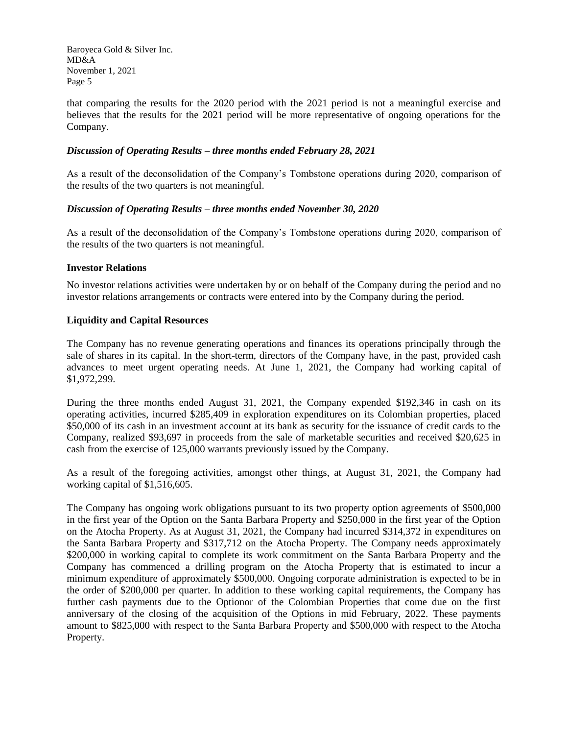that comparing the results for the 2020 period with the 2021 period is not a meaningful exercise and believes that the results for the 2021 period will be more representative of ongoing operations for the Company.

## *Discussion of Operating Results – three months ended February 28, 2021*

As a result of the deconsolidation of the Company's Tombstone operations during 2020, comparison of the results of the two quarters is not meaningful.

## *Discussion of Operating Results – three months ended November 30, 2020*

As a result of the deconsolidation of the Company's Tombstone operations during 2020, comparison of the results of the two quarters is not meaningful.

## **Investor Relations**

No investor relations activities were undertaken by or on behalf of the Company during the period and no investor relations arrangements or contracts were entered into by the Company during the period.

## **Liquidity and Capital Resources**

The Company has no revenue generating operations and finances its operations principally through the sale of shares in its capital. In the short-term, directors of the Company have, in the past, provided cash advances to meet urgent operating needs. At June 1, 2021, the Company had working capital of \$1,972,299.

During the three months ended August 31, 2021, the Company expended \$192,346 in cash on its operating activities, incurred \$285,409 in exploration expenditures on its Colombian properties, placed \$50,000 of its cash in an investment account at its bank as security for the issuance of credit cards to the Company, realized \$93,697 in proceeds from the sale of marketable securities and received \$20,625 in cash from the exercise of 125,000 warrants previously issued by the Company.

As a result of the foregoing activities, amongst other things, at August 31, 2021, the Company had working capital of \$1,516,605.

The Company has ongoing work obligations pursuant to its two property option agreements of \$500,000 in the first year of the Option on the Santa Barbara Property and \$250,000 in the first year of the Option on the Atocha Property. As at August 31, 2021, the Company had incurred \$314,372 in expenditures on the Santa Barbara Property and \$317,712 on the Atocha Property. The Company needs approximately \$200,000 in working capital to complete its work commitment on the Santa Barbara Property and the Company has commenced a drilling program on the Atocha Property that is estimated to incur a minimum expenditure of approximately \$500,000. Ongoing corporate administration is expected to be in the order of \$200,000 per quarter. In addition to these working capital requirements, the Company has further cash payments due to the Optionor of the Colombian Properties that come due on the first anniversary of the closing of the acquisition of the Options in mid February, 2022. These payments amount to \$825,000 with respect to the Santa Barbara Property and \$500,000 with respect to the Atocha Property.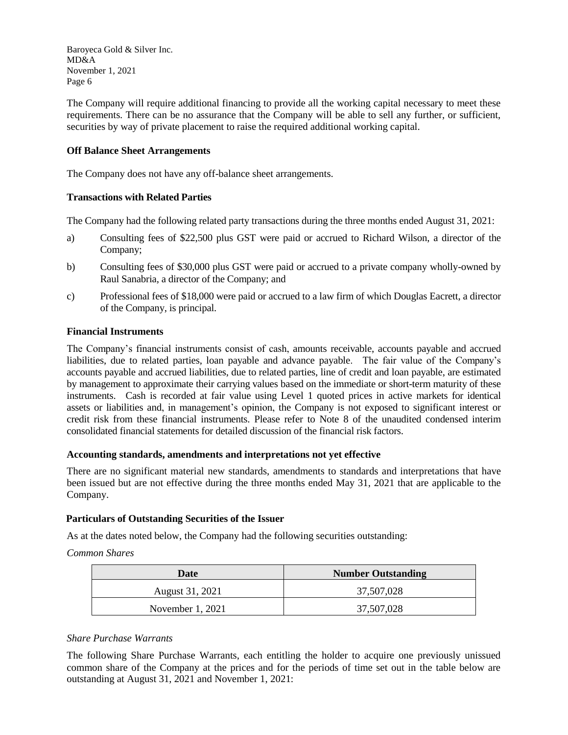The Company will require additional financing to provide all the working capital necessary to meet these requirements. There can be no assurance that the Company will be able to sell any further, or sufficient, securities by way of private placement to raise the required additional working capital.

## **Off Balance Sheet Arrangements**

The Company does not have any off-balance sheet arrangements.

## **Transactions with Related Parties**

The Company had the following related party transactions during the three months ended August 31, 2021:

- a) Consulting fees of \$22,500 plus GST were paid or accrued to Richard Wilson, a director of the Company;
- b) Consulting fees of \$30,000 plus GST were paid or accrued to a private company wholly-owned by Raul Sanabria, a director of the Company; and
- c) Professional fees of \$18,000 were paid or accrued to a law firm of which Douglas Eacrett, a director of the Company, is principal.

## **Financial Instruments**

The Company's financial instruments consist of cash, amounts receivable, accounts payable and accrued liabilities, due to related parties, loan payable and advance payable. The fair value of the Company's accounts payable and accrued liabilities, due to related parties, line of credit and loan payable, are estimated by management to approximate their carrying values based on the immediate or short-term maturity of these instruments. Cash is recorded at fair value using Level 1 quoted prices in active markets for identical assets or liabilities and, in management's opinion, the Company is not exposed to significant interest or credit risk from these financial instruments. Please refer to Note 8 of the unaudited condensed interim consolidated financial statements for detailed discussion of the financial risk factors.

## **Accounting standards, amendments and interpretations not yet effective**

There are no significant material new standards, amendments to standards and interpretations that have been issued but are not effective during the three months ended May 31, 2021 that are applicable to the Company.

## **Particulars of Outstanding Securities of the Issuer**

As at the dates noted below, the Company had the following securities outstanding:

*Common Shares*

| Date               | <b>Number Outstanding</b> |  |  |
|--------------------|---------------------------|--|--|
| August 31, 2021    | 37,507,028                |  |  |
| November $1, 2021$ | 37,507,028                |  |  |

## *Share Purchase Warrants*

The following Share Purchase Warrants, each entitling the holder to acquire one previously unissued common share of the Company at the prices and for the periods of time set out in the table below are outstanding at August 31, 2021 and November 1, 2021: